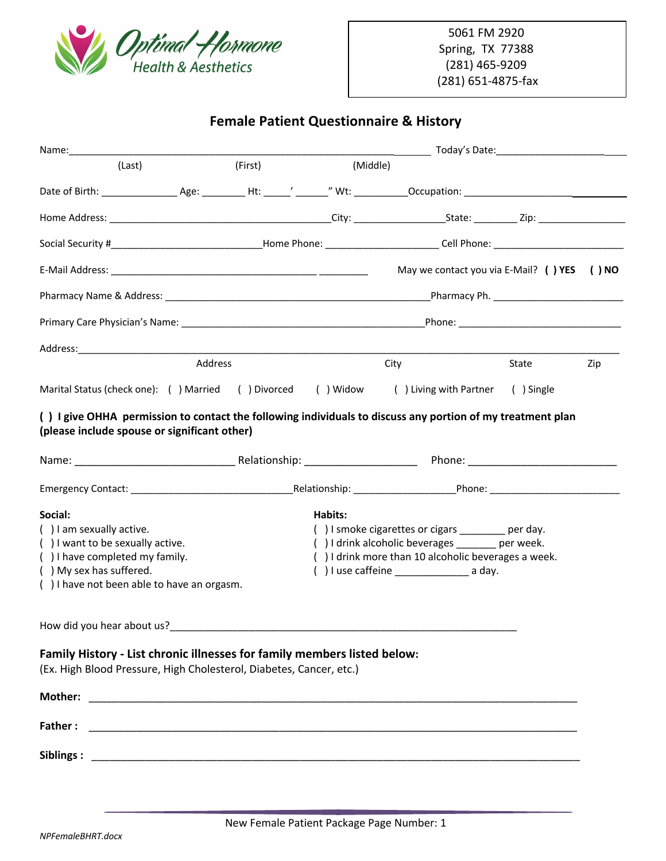

## **Female Patient Questionnaire & History**

| (Last)                                                                                                                                                     | (First)                                                                                                                                          | (Middle)                                                     |                                               |       |     |
|------------------------------------------------------------------------------------------------------------------------------------------------------------|--------------------------------------------------------------------------------------------------------------------------------------------------|--------------------------------------------------------------|-----------------------------------------------|-------|-----|
|                                                                                                                                                            |                                                                                                                                                  |                                                              |                                               |       |     |
|                                                                                                                                                            |                                                                                                                                                  |                                                              |                                               |       |     |
|                                                                                                                                                            |                                                                                                                                                  |                                                              |                                               |       |     |
|                                                                                                                                                            |                                                                                                                                                  |                                                              | May we contact you via E-Mail? ( ) YES ( ) NO |       |     |
|                                                                                                                                                            |                                                                                                                                                  |                                                              |                                               |       |     |
|                                                                                                                                                            |                                                                                                                                                  |                                                              |                                               |       |     |
|                                                                                                                                                            |                                                                                                                                                  |                                                              |                                               |       |     |
| Address                                                                                                                                                    |                                                                                                                                                  |                                                              | City                                          | State | Zip |
| Marital Status (check one): () Married () Divorced () Widow () Living with Partner () Single                                                               |                                                                                                                                                  |                                                              |                                               |       |     |
| () I give OHHA permission to contact the following individuals to discuss any portion of my treatment plan<br>(please include spouse or significant other) |                                                                                                                                                  |                                                              |                                               |       |     |
|                                                                                                                                                            |                                                                                                                                                  |                                                              |                                               |       |     |
| Social:<br>() I am sexually active.                                                                                                                        |                                                                                                                                                  | Habits:<br>() I smoke cigarettes or cigars ________ per day. |                                               |       |     |
| () I want to be sexually active.<br>() I have completed my family.<br>() My sex has suffered.<br>() I have not been able to have an orgasm.                | () I drink alcoholic beverages ______ per week.<br>() I drink more than 10 alcoholic beverages a week.<br>() I use caffeine $\frac{1}{2}$ a day. |                                                              |                                               |       |     |
| How did you hear about us?                                                                                                                                 |                                                                                                                                                  |                                                              |                                               |       |     |
| Family History - List chronic illnesses for family members listed below:<br>(Ex. High Blood Pressure, High Cholesterol, Diabetes, Cancer, etc.)            |                                                                                                                                                  |                                                              |                                               |       |     |
|                                                                                                                                                            |                                                                                                                                                  |                                                              |                                               |       |     |
| Father:                                                                                                                                                    |                                                                                                                                                  |                                                              |                                               |       |     |
|                                                                                                                                                            |                                                                                                                                                  |                                                              |                                               |       |     |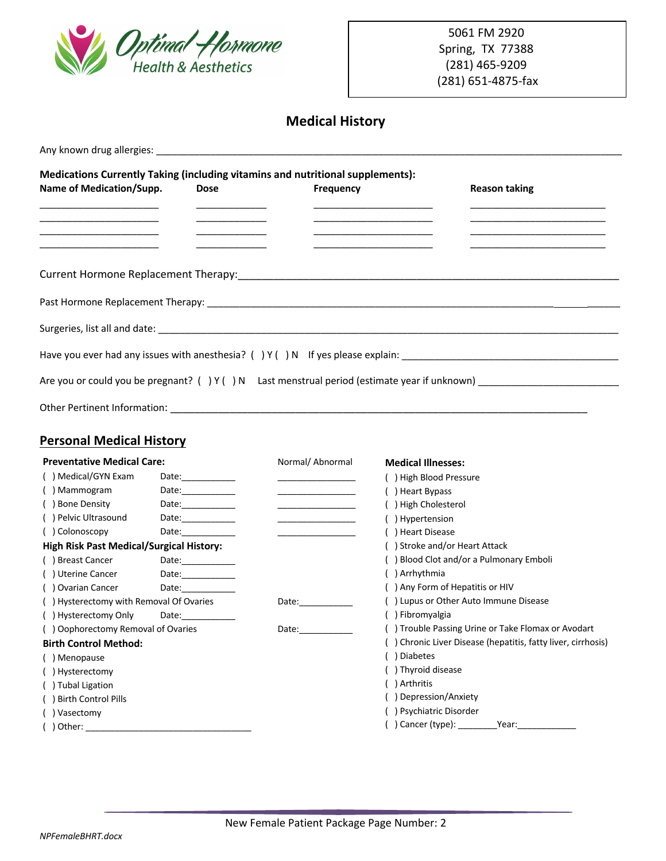

# **Medical History**

| Name of Medication/Supp.                        | <b>Dose</b>                             | Medications Currently Taking (including vitamins and nutritional supplements):<br><b>Frequency</b>                                                                                                                            | <b>Reason taking</b>                                         |
|-------------------------------------------------|-----------------------------------------|-------------------------------------------------------------------------------------------------------------------------------------------------------------------------------------------------------------------------------|--------------------------------------------------------------|
|                                                 |                                         |                                                                                                                                                                                                                               |                                                              |
|                                                 |                                         |                                                                                                                                                                                                                               |                                                              |
|                                                 |                                         |                                                                                                                                                                                                                               |                                                              |
|                                                 |                                         |                                                                                                                                                                                                                               |                                                              |
|                                                 |                                         |                                                                                                                                                                                                                               |                                                              |
|                                                 |                                         |                                                                                                                                                                                                                               |                                                              |
|                                                 |                                         |                                                                                                                                                                                                                               |                                                              |
|                                                 |                                         |                                                                                                                                                                                                                               |                                                              |
|                                                 |                                         |                                                                                                                                                                                                                               |                                                              |
|                                                 |                                         |                                                                                                                                                                                                                               |                                                              |
|                                                 |                                         |                                                                                                                                                                                                                               |                                                              |
| <b>Personal Medical History</b>                 |                                         |                                                                                                                                                                                                                               |                                                              |
| <b>Preventative Medical Care:</b>               |                                         | Normal/ Abnormal                                                                                                                                                                                                              | <b>Medical Illnesses:</b>                                    |
| () Medical/GYN Exam                             | Date:_____________                      |                                                                                                                                                                                                                               | ( ) High Blood Pressure                                      |
| () Mammogram                                    | ${\sf Date:}\underline{\hspace{2.5cm}}$ |                                                                                                                                                                                                                               | () Heart Bypass                                              |
| () Bone Density                                 | Date:____________                       |                                                                                                                                                                                                                               | ( ) High Cholesterol                                         |
| () Pelvic Ultrasound                            | Date:_____________                      |                                                                                                                                                                                                                               | () Hypertension                                              |
| () Colonoscopy                                  |                                         |                                                                                                                                                                                                                               | ( ) Heart Disease                                            |
| <b>High Risk Past Medical/Surgical History:</b> |                                         |                                                                                                                                                                                                                               | () Stroke and/or Heart Attack                                |
| () Breast Cancer                                | Date: ____________                      |                                                                                                                                                                                                                               | () Blood Clot and/or a Pulmonary Emboli                      |
| () Uterine Cancer                               | Date:____________                       |                                                                                                                                                                                                                               | () Arrhythmia                                                |
| () Ovarian Cancer                               |                                         |                                                                                                                                                                                                                               | () Any Form of Hepatitis or HIV                              |
| () Hysterectomy with Removal Of Ovaries         |                                         | Date: and the state of the state of the state of the state of the state of the state of the state of the state of the state of the state of the state of the state of the state of the state of the state of the state of the | () Lupus or Other Auto Immune Disease                        |
| () Hysterectomy Only                            |                                         |                                                                                                                                                                                                                               | () Fibromyalgia                                              |
| () Oophorectomy Removal of Ovaries              |                                         | Date:________                                                                                                                                                                                                                 | () Trouble Passing Urine or Take Flomax or Avodart           |
| <b>Birth Control Method:</b>                    |                                         |                                                                                                                                                                                                                               | () Chronic Liver Disease (hepatitis, fatty liver, cirrhosis) |
| () Menopause                                    |                                         |                                                                                                                                                                                                                               | ( ) Diabetes                                                 |
| () Hysterectomy                                 |                                         |                                                                                                                                                                                                                               | () Thyroid disease                                           |
| () Tubal Ligation                               |                                         |                                                                                                                                                                                                                               | ( ) Arthritis                                                |
| () Birth Control Pills                          |                                         |                                                                                                                                                                                                                               | () Depression/Anxiety                                        |
| Vasectomy                                       |                                         |                                                                                                                                                                                                                               | () Psychiatric Disorder                                      |
| Other:                                          |                                         |                                                                                                                                                                                                                               | () Cancer (type):<br>Year:                                   |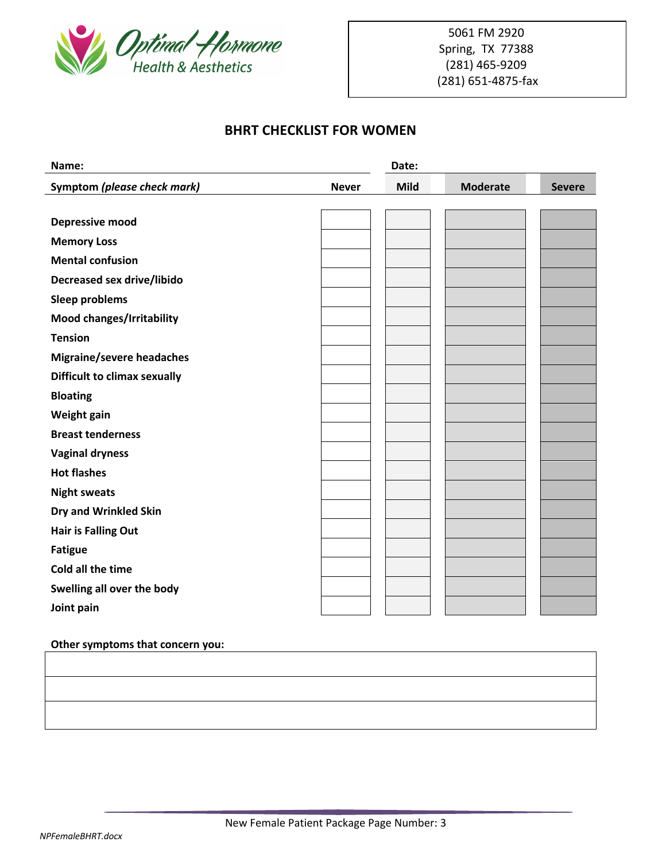

### **BHRT CHECKLIST FOR WOMEN**

| Name:                               |              | Date:       |                 |               |
|-------------------------------------|--------------|-------------|-----------------|---------------|
| Symptom (please check mark)         | <b>Never</b> | <b>Mild</b> | <b>Moderate</b> | <b>Severe</b> |
|                                     |              |             |                 |               |
| Depressive mood                     |              |             |                 |               |
| <b>Memory Loss</b>                  |              |             |                 |               |
| <b>Mental confusion</b>             |              |             |                 |               |
| Decreased sex drive/libido          |              |             |                 |               |
| <b>Sleep problems</b>               |              |             |                 |               |
| Mood changes/Irritability           |              |             |                 |               |
| <b>Tension</b>                      |              |             |                 |               |
| <b>Migraine/severe headaches</b>    |              |             |                 |               |
| <b>Difficult to climax sexually</b> |              |             |                 |               |
| <b>Bloating</b>                     |              |             |                 |               |
| Weight gain                         |              |             |                 |               |
| <b>Breast tenderness</b>            |              |             |                 |               |
| <b>Vaginal dryness</b>              |              |             |                 |               |
| <b>Hot flashes</b>                  |              |             |                 |               |
| <b>Night sweats</b>                 |              |             |                 |               |
| Dry and Wrinkled Skin               |              |             |                 |               |
| <b>Hair is Falling Out</b>          |              |             |                 |               |
| <b>Fatigue</b>                      |              |             |                 |               |
| Cold all the time                   |              |             |                 |               |
| Swelling all over the body          |              |             |                 |               |
| Joint pain                          |              |             |                 |               |

### **Other symptoms that concern you:**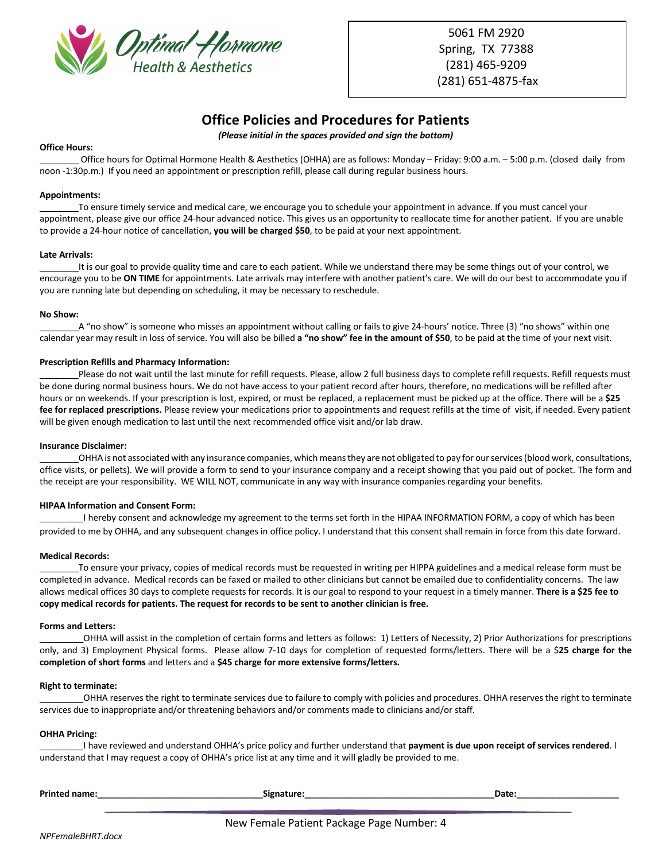

5061 FM 2920 Spring, TX 77388 (281) 465-9209 (281) 651-4875-fax

### **Office Policies and Procedures for Patients**

*(Please initial in the spaces provided and sign the bottom)*

#### **Office Hours:**

Office hours for Optimal Hormone Health & Aesthetics (OHHA) are as follows: Monday – Friday: 9:00 a.m. – 5:00 p.m. (closed daily from noon -1:30p.m.) If you need an appointment or prescription refill, please call during regular business hours.

#### **Appointments:**

\_\_\_\_\_\_\_\_To ensure timely service and medical care, we encourage you to schedule your appointment in advance. If you must cancel your appointment, please give our office 24-hour advanced notice. This gives us an opportunity to reallocate time for another patient. If you are unable to provide a 24-hour notice of cancellation, **you will be charged \$50**, to be paid at your next appointment.

#### **Late Arrivals:**

It is our goal to provide quality time and care to each patient. While we understand there may be some things out of your control, we encourage you to be **ON TIME** for appointments. Late arrivals may interfere with another patient's care. We will do our best to accommodate you if you are running late but depending on scheduling, it may be necessary to reschedule.

#### **No Show:**

A "no show" is someone who misses an appointment without calling or fails to give 24-hours' notice. Three (3) "no shows" within one calendar year may result in loss of service. You will also be billed **a "no show" fee in the amount of \$50**, to be paid at the time of your next visit.

#### **Prescription Refills and Pharmacy Information:**

\_\_\_\_\_\_\_\_Please do not wait until the last minute for refill requests. Please, allow 2 full business days to complete refill requests. Refill requests must be done during normal business hours. We do not have access to your patient record after hours, therefore, no medications will be refilled after hours or on weekends. If your prescription is lost, expired, or must be replaced, a replacement must be picked up at the office. There will be a **\$25**  fee for replaced prescriptions. Please review your medications prior to appointments and request refills at the time of visit, if needed. Every patient will be given enough medication to last until the next recommended office visit and/or lab draw.

#### **Insurance Disclaimer:**

\_\_\_\_\_\_\_\_OHHA is not associated with any insurance companies, which means they are not obligated to pay for our services (blood work, consultations, office visits, or pellets). We will provide a form to send to your insurance company and a receipt showing that you paid out of pocket. The form and the receipt are your responsibility. WE WILL NOT, communicate in any way with insurance companies regarding your benefits.

#### **HIPAA Information and Consent Form:**

\_\_\_\_\_\_\_\_\_I hereby consent and acknowledge my agreement to the terms set forth in the HIPAA INFORMATION FORM, a copy of which has been provided to me by OHHA, and any subsequent changes in office policy. I understand that this consent shall remain in force from this date forward.

#### **Medical Records:**

To ensure your privacy, copies of medical records must be requested in writing per HIPPA guidelines and a medical release form must be completed in advance. Medical records can be faxed or mailed to other clinicians but cannot be emailed due to confidentiality concerns. The law allows medical offices 30 days to complete requests for records. It is our goal to respond to your request in a timely manner. **There is a \$25 fee to copy medical records for patients. The request for records to be sent to another clinician is free.**

#### **Forms and Letters:**

\_\_\_\_\_\_\_\_\_OHHA will assist in the completion of certain forms and letters as follows: 1) Letters of Necessity, 2) Prior Authorizations for prescriptions only, and 3) Employment Physical forms. Please allow 7-10 days for completion of requested forms/letters. There will be a \$**25 charge for the completion of short forms** and letters and a **\$45 charge for more extensive forms/letters.**

#### **Right to terminate:**

\_\_\_\_\_\_\_\_\_OHHA reserves the right to terminate services due to failure to comply with policies and procedures. OHHA reserves the right to terminate services due to inappropriate and/or threatening behaviors and/or comments made to clinicians and/or staff.

#### **OHHA Pricing:**

\_\_\_\_\_\_\_\_\_I have reviewed and understand OHHA's price policy and further understand that **payment is due upon receipt of services rendered**. I understand that I may request a copy of OHHA's price list at any time and it will gladly be provided to me.

| <b>Printed name:</b> | <b>Signature</b> | Date: |
|----------------------|------------------|-------|
|                      |                  |       |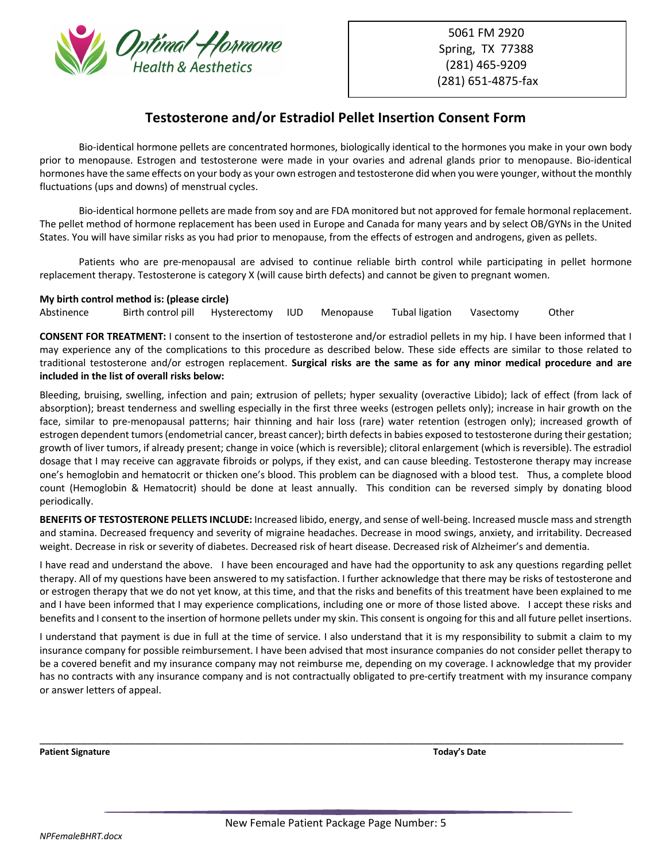

5061 FM 2920 Spring, TX 77388 (281) 465-9209 (281) 651-4875-fax

### **Testosterone and/or Estradiol Pellet Insertion Consent Form**

Bio-identical hormone pellets are concentrated hormones, biologically identical to the hormones you make in your own body prior to menopause. Estrogen and testosterone were made in your ovaries and adrenal glands prior to menopause. Bio-identical hormones have the same effects on your body as your own estrogen and testosterone did when you were younger, without the monthly fluctuations (ups and downs) of menstrual cycles.

Bio-identical hormone pellets are made from soy and are FDA monitored but not approved for female hormonal replacement. The pellet method of hormone replacement has been used in Europe and Canada for many years and by select OB/GYNs in the United States. You will have similar risks as you had prior to menopause, from the effects of estrogen and androgens, given as pellets.

Patients who are pre-menopausal are advised to continue reliable birth control while participating in pellet hormone replacement therapy. Testosterone is category X (will cause birth defects) and cannot be given to pregnant women.

#### **My birth control method is: (please circle)**

Abstinence Birth control pill Hysterectomy IUD Menopause Tubal ligation Vasectomy Other

**CONSENT FOR TREATMENT:** I consent to the insertion of testosterone and/or estradiol pellets in my hip. I have been informed that I may experience any of the complications to this procedure as described below. These side effects are similar to those related to traditional testosterone and/or estrogen replacement. **Surgical risks are the same as for any minor medical procedure and are included in the list of overall risks below:**

Bleeding, bruising, swelling, infection and pain; extrusion of pellets; hyper sexuality (overactive Libido); lack of effect (from lack of absorption); breast tenderness and swelling especially in the first three weeks (estrogen pellets only); increase in hair growth on the face, similar to pre-menopausal patterns; hair thinning and hair loss (rare) water retention (estrogen only); increased growth of estrogen dependent tumors (endometrial cancer, breast cancer); birth defects in babies exposed to testosterone during their gestation; growth of liver tumors, if already present; change in voice (which is reversible); clitoral enlargement (which is reversible). The estradiol dosage that I may receive can aggravate fibroids or polyps, if they exist, and can cause bleeding. Testosterone therapy may increase one's hemoglobin and hematocrit or thicken one's blood. This problem can be diagnosed with a blood test. Thus, a complete blood count (Hemoglobin & Hematocrit) should be done at least annually. This condition can be reversed simply by donating blood periodically.

**BENEFITS OF TESTOSTERONE PELLETS INCLUDE:** Increased libido, energy, and sense of well-being. Increased muscle mass and strength and stamina. Decreased frequency and severity of migraine headaches. Decrease in mood swings, anxiety, and irritability. Decreased weight. Decrease in risk or severity of diabetes. Decreased risk of heart disease. Decreased risk of Alzheimer's and dementia.

I have read and understand the above. I have been encouraged and have had the opportunity to ask any questions regarding pellet therapy. All of my questions have been answered to my satisfaction. I further acknowledge that there may be risks of testosterone and or estrogen therapy that we do not yet know, at this time, and that the risks and benefits of this treatment have been explained to me and I have been informed that I may experience complications, including one or more of those listed above. I accept these risks and benefits and I consent to the insertion of hormone pellets under my skin. This consent is ongoing for this and all future pellet insertions.

I understand that payment is due in full at the time of service. I also understand that it is my responsibility to submit a claim to my insurance company for possible reimbursement. I have been advised that most insurance companies do not consider pellet therapy to be a covered benefit and my insurance company may not reimburse me, depending on my coverage. I acknowledge that my provider has no contracts with any insurance company and is not contractually obligated to pre-certify treatment with my insurance company or answer letters of appeal.

\_\_\_\_\_\_\_\_\_\_\_\_\_\_\_\_\_\_\_\_\_\_\_\_\_\_\_\_\_\_\_\_\_\_\_\_\_\_\_\_\_\_\_\_\_\_\_\_\_\_\_\_\_\_\_\_\_\_\_\_\_\_\_\_\_\_\_\_\_\_\_\_\_\_\_\_\_\_\_\_\_\_\_\_\_\_\_\_\_\_\_\_\_\_\_\_\_\_

**Patient Signature Today's Date**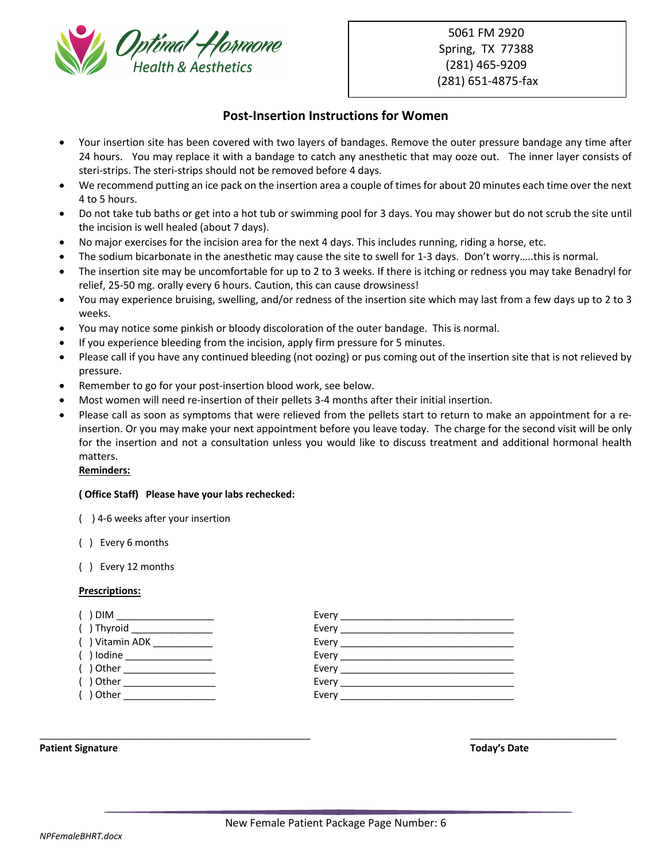

5061 FM 2920 Spring, TX 77388 (281) 465-9209 (281) 651-4875-fax

### **Post-Insertion Instructions for Women**

- Your insertion site has been covered with two layers of bandages. Remove the outer pressure bandage any time after 24 hours. You may replace it with a bandage to catch any anesthetic that may ooze out. The inner layer consists of steri-strips. The steri-strips should not be removed before 4 days.
- We recommend putting an ice pack on the insertion area a couple of times for about 20 minutes each time over the next 4 to 5 hours.
- Do not take tub baths or get into a hot tub or swimming pool for 3 days. You may shower but do not scrub the site until the incision is well healed (about 7 days).
- No major exercises for the incision area for the next 4 days. This includes running, riding a horse, etc.
- The sodium bicarbonate in the anesthetic may cause the site to swell for 1-3 days. Don't worry.....this is normal.
- The insertion site may be uncomfortable for up to 2 to 3 weeks. If there is itching or redness you may take Benadryl for relief, 25-50 mg. orally every 6 hours. Caution, this can cause drowsiness!
- You may experience bruising, swelling, and/or redness of the insertion site which may last from a few days up to 2 to 3 weeks.
- You may notice some pinkish or bloody discoloration of the outer bandage. This is normal.
- If you experience bleeding from the incision, apply firm pressure for 5 minutes.
- Please call if you have any continued bleeding (not oozing) or pus coming out of the insertion site that is not relieved by pressure.
- Remember to go for your post-insertion blood work, see below.
- Most women will need re-insertion of their pellets 3-4 months after their initial insertion.
- Please call as soon as symptoms that were relieved from the pellets start to return to make an appointment for a reinsertion. Or you may make your next appointment before you leave today. The charge for the second visit will be only for the insertion and not a consultation unless you would like to discuss treatment and additional hormonal health matters.

#### **Reminders:**

#### **( Office Staff) Please have your labs rechecked:**

- ( ) 4-6 weeks after your insertion
- ( ) Every 6 months
- ( ) Every 12 months

#### **Prescriptions:**

| . ) DIM ______________________   |  |
|----------------------------------|--|
| $( )$ Thyroid __________________ |  |
| $( )$ Vitamin ADK ___________    |  |
| $( )$ lodine ___________________ |  |
| () Other ____________________    |  |
| $( ) Other _______$              |  |
| ( ) Other __________________     |  |
|                                  |  |

**Patient Signature Today's Date**

\_\_\_\_\_\_\_\_\_\_\_\_\_\_\_\_\_\_\_\_\_\_\_\_\_\_\_\_\_\_\_\_\_\_\_\_\_\_\_\_\_\_\_\_\_\_\_\_\_\_ \_\_\_\_\_\_\_\_\_\_\_\_\_\_\_\_\_\_\_\_\_\_\_\_\_\_\_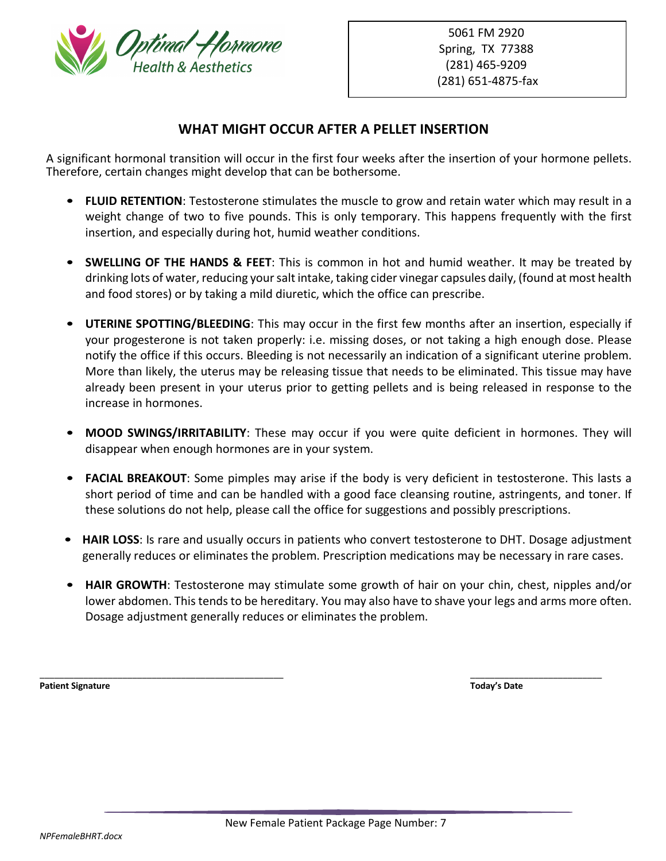

### **WHAT MIGHT OCCUR AFTER A PELLET INSERTION**

A significant hormonal transition will occur in the first four weeks after the insertion of your hormone pellets. Therefore, certain changes might develop that can be bothersome.

- **FLUID RETENTION**: Testosterone stimulates the muscle to grow and retain water which may result in a weight change of two to five pounds. This is only temporary. This happens frequently with the first insertion, and especially during hot, humid weather conditions.
- **SWELLING OF THE HANDS & FEET**: This is common in hot and humid weather. It may be treated by drinking lots of water, reducing your salt intake, taking cider vinegar capsules daily, (found at most health and food stores) or by taking a mild diuretic, which the office can prescribe.
- **UTERINE SPOTTING/BLEEDING**: This may occur in the first few months after an insertion, especially if your progesterone is not taken properly: i.e. missing doses, or not taking a high enough dose. Please notify the office if this occurs. Bleeding is not necessarily an indication of a significant uterine problem. More than likely, the uterus may be releasing tissue that needs to be eliminated. This tissue may have already been present in your uterus prior to getting pellets and is being released in response to the increase in hormones.
- **MOOD SWINGS/IRRITABILITY**: These may occur if you were quite deficient in hormones. They will disappear when enough hormones are in your system.
- **FACIAL BREAKOUT**: Some pimples may arise if the body is very deficient in testosterone. This lasts a short period of time and can be handled with a good face cleansing routine, astringents, and toner. If these solutions do not help, please call the office for suggestions and possibly prescriptions.
- **HAIR LOSS**: Is rare and usually occurs in patients who convert testosterone to DHT. Dosage adjustment generally reduces or eliminates the problem. Prescription medications may be necessary in rare cases.
- **HAIR GROWTH**: Testosterone may stimulate some growth of hair on your chin, chest, nipples and/or lower abdomen. This tends to be hereditary. You may also have to shave your legs and arms more often. Dosage adjustment generally reduces or eliminates the problem.

**Patient Signature Today's Date**

\_\_\_\_\_\_\_\_\_\_\_\_\_\_\_\_\_\_\_\_\_\_\_\_\_\_\_\_\_\_\_\_\_\_\_\_\_\_\_\_\_\_\_\_\_\_\_\_\_\_ \_\_\_\_\_\_\_\_\_\_\_\_\_\_\_\_\_\_\_\_\_\_\_\_\_\_\_